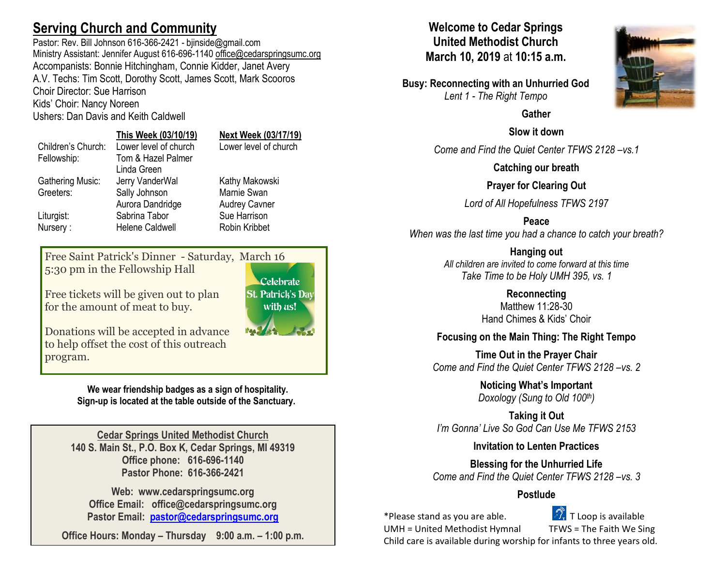# **Serving Church and Community**

Pastor: Rev. Bill Johnson 616-366-2421 - bijnside@gmail.com Ministry Assistant: Jennifer August 616-696-1140 [office@cedarspringsumc.org](mailto:office@cedarspringsumc.org) Accompanists: Bonnie Hitchingham, Connie Kidder, Janet Avery A.V. Techs: Tim Scott, Dorothy Scott, James Scott, Mark Scooros Choir Director: Sue Harrison Kids' Choir: Nancy Noreen

Ushers: Dan Davis and Keith Caldwell

# **This Week (03/10/19) Next Week (03/17/19)**

|                    | <u>THIS TRYSHING ISL</u> | <b>ITUAL TTUUIN (VUI 177 IU)</b> |
|--------------------|--------------------------|----------------------------------|
| Children's Church: | Lower level of church    | Lower level of church            |
| Fellowship:        | Tom & Hazel Palmer       |                                  |
|                    | Linda Green              |                                  |
| Gathering Music:   | Jerry VanderWal          | Kathy Makowski                   |
| Greeters:          | Sally Johnson            | Marnie Swan                      |
|                    | Aurora Dandridge         | <b>Audrey Cavner</b>             |
| Liturgist:         | Sabrina Tabor            | Sue Harrison                     |
| Nursery:           | <b>Helene Caldwell</b>   | Robin Kribbet                    |
|                    |                          |                                  |

Free Saint Patrick's Dinner - Saturday, March 16 5:30 pm in the Fellowship Hall

Free tickets will be given out to plan for the amount of meat to buy.

Donations will be accepted in advance to help offset the cost of this outreach program.

> **We wear friendship badges as a sign of hospitality. Sign-up is located at the table outside of the Sanctuary.**

**Cedar Springs United Methodist Church 140 S. Main St., P.O. Box K, Cedar Springs, MI 49319 Office phone: 616-696-1140 Pastor Phone: 616-366-2421**

**Web: www.cedarspringsumc.org Office Email: office@cedarspringsumc.org Pastor Email: [pastor@cedarspringsumc.org](mailto:pastor@cedarspringsumc.org)**

**Office Hours: Monday – Thursday 9:00 a.m. – 1:00 p.m.**

# **Welcome to Cedar Springs United Methodist Church March 10, 2019** at **10:15 a.m.**

**Busy: Reconnecting with an Unhurried God** *Lent 1 - The Right Tempo*

## **Gather**

## **Slow it down**

*Come and Find the Quiet Center TFWS 2128 –vs.1*

**Catching our breath**

## **Prayer for Clearing Out**

*Lord of All Hopefulness TFWS 2197*

## **Peace**

*When was the last time you had a chance to catch your breath?*

**Hanging out**

*All children are invited to come forward at this time Take Time to be Holy UMH 395, vs. 1*

#### **Reconnecting** Matthew 11:28-30 Hand Chimes & Kids' Choir

# **Focusing on the Main Thing: The Right Tempo**

**Time Out in the Prayer Chair** *Come and Find the Quiet Center TFWS 2128 –vs. 2*

> **Noticing What's Important** *Doxology (Sung to Old 100th)*

**Taking it Out** *I'm Gonna' Live So God Can Use Me TFWS 2153*

## **Invitation to Lenten Practices**

**Blessing for the Unhurried Life** *Come and Find the Quiet Center TFWS 2128 –vs. 3*

## **Postlude**

\*Please stand as you are able.  $\mathbb{Z}$ . T Loop is available

UMH = United Methodist Hymnal TFWS = The Faith We Sing

Child care is available during worship for infants to three years old.